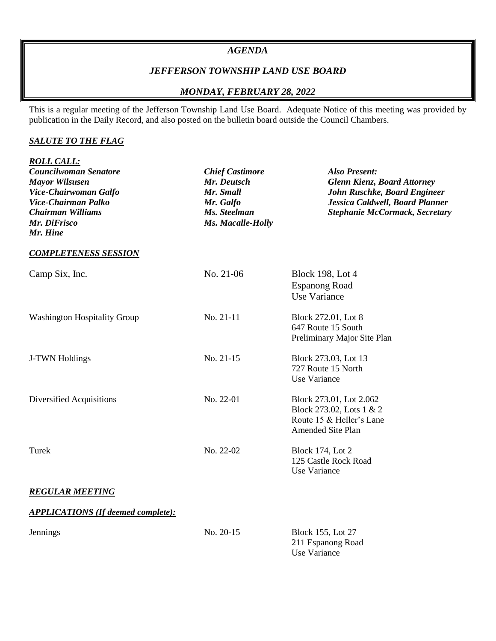#### *AGENDA*

# *JEFFERSON TOWNSHIP LAND USE BOARD*

# *MONDAY, FEBRUARY 28, 2022*

This is a regular meeting of the Jefferson Township Land Use Board. Adequate Notice of this meeting was provided by publication in the Daily Record, and also posted on the bulletin board outside the Council Chambers.

#### *SALUTE TO THE FLAG*

| <b>ROLL CALL:</b><br>Councilwoman Senatore<br><b>Mayor Wilsusen</b><br>Vice-Chairwoman Galfo<br>Vice-Chairman Palko<br><b>Chairman Williams</b><br>Mr. DiFrisco<br>Mr. Hine | <b>Chief Castimore</b><br>Mr. Deutsch<br>Mr. Small<br>Mr. Galfo<br>Ms. Steelman<br>Ms. Macalle-Holly | <b>Also Present:</b><br><b>Glenn Kienz, Board Attorney</b><br>John Ruschke, Board Engineer<br>Jessica Caldwell, Board Planner<br><b>Stephanie McCormack, Secretary</b> |
|-----------------------------------------------------------------------------------------------------------------------------------------------------------------------------|------------------------------------------------------------------------------------------------------|------------------------------------------------------------------------------------------------------------------------------------------------------------------------|
| <b>COMPLETENESS SESSION</b>                                                                                                                                                 |                                                                                                      |                                                                                                                                                                        |
| Camp Six, Inc.                                                                                                                                                              | No. 21-06                                                                                            | <b>Block 198, Lot 4</b><br><b>Espanong Road</b><br>Use Variance                                                                                                        |
| <b>Washington Hospitality Group</b>                                                                                                                                         | No. 21-11                                                                                            | Block 272.01, Lot 8<br>647 Route 15 South<br>Preliminary Major Site Plan                                                                                               |
| J-TWN Holdings                                                                                                                                                              | No. 21-15                                                                                            | Block 273.03, Lot 13<br>727 Route 15 North<br>Use Variance                                                                                                             |
| Diversified Acquisitions                                                                                                                                                    | No. 22-01                                                                                            | Block 273.01, Lot 2.062<br>Block 273.02, Lots 1 & 2<br>Route 15 & Heller's Lane<br>Amended Site Plan                                                                   |
| Turek                                                                                                                                                                       | No. 22-02                                                                                            | <b>Block 174, Lot 2</b><br>125 Castle Rock Road<br>Use Variance                                                                                                        |
| <b>REGULAR MEETING</b>                                                                                                                                                      |                                                                                                      |                                                                                                                                                                        |
| <b>APPLICATIONS (If deemed complete):</b>                                                                                                                                   |                                                                                                      |                                                                                                                                                                        |
| Jennings                                                                                                                                                                    | No. 20-15                                                                                            | <b>Block 155, Lot 27</b><br>211 Espanong Road<br><b>Use Variance</b>                                                                                                   |